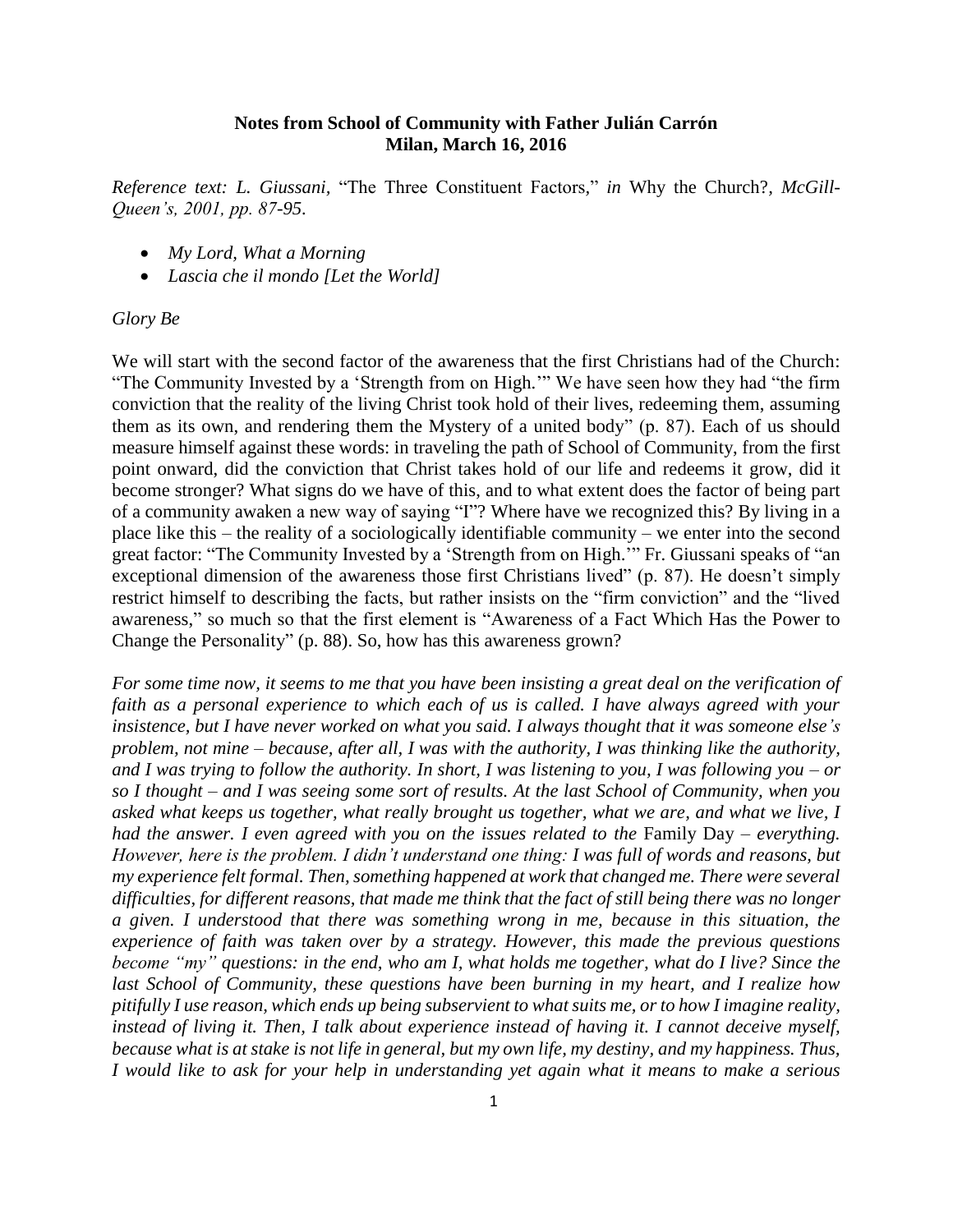## **Notes from School of Community with Father Julián Carrón Milan, March 16, 2016**

*Reference text: L. Giussani,* "The Three Constituent Factors*,*" *in* Why the Church?*, McGill-Queen's, 2001, pp. 87-95.*

- *My Lord, What a Morning*
- *Lascia che il mondo [Let the World]*

#### *Glory Be*

We will start with the second factor of the awareness that the first Christians had of the Church: "The Community Invested by a 'Strength from on High.'" We have seen how they had "the firm conviction that the reality of the living Christ took hold of their lives, redeeming them, assuming them as its own, and rendering them the Mystery of a united body" (p. 87). Each of us should measure himself against these words: in traveling the path of School of Community, from the first point onward, did the conviction that Christ takes hold of our life and redeems it grow, did it become stronger? What signs do we have of this, and to what extent does the factor of being part of a community awaken a new way of saying "I"? Where have we recognized this? By living in a place like this – the reality of a sociologically identifiable community – we enter into the second great factor: "The Community Invested by a 'Strength from on High.'" Fr. Giussani speaks of "an exceptional dimension of the awareness those first Christians lived" (p. 87). He doesn't simply restrict himself to describing the facts, but rather insists on the "firm conviction" and the "lived awareness," so much so that the first element is "Awareness of a Fact Which Has the Power to Change the Personality" (p. 88). So, how has this awareness grown?

*For some time now, it seems to me that you have been insisting a great deal on the verification of faith as a personal experience to which each of us is called. I have always agreed with your insistence, but I have never worked on what you said. I always thought that it was someone else's problem, not mine – because, after all, I was with the authority, I was thinking like the authority, and I was trying to follow the authority. In short, I was listening to you, I was following you – or so I thought – and I was seeing some sort of results. At the last School of Community, when you asked what keeps us together, what really brought us together, what we are, and what we live, I had the answer. I even agreed with you on the issues related to the Family Day – everything. However, here is the problem. I didn't understand one thing: I was full of words and reasons, but my experience felt formal. Then, something happened at work that changed me. There were several difficulties, for different reasons, that made me think that the fact of still being there was no longer a given. I understood that there was something wrong in me, because in this situation, the experience of faith was taken over by a strategy. However, this made the previous questions become "my" questions: in the end, who am I, what holds me together, what do I live? Since the last School of Community, these questions have been burning in my heart, and I realize how pitifully I use reason, which ends up being subservient to what suits me, or to how I imagine reality, instead of living it. Then, I talk about experience instead of having it. I cannot deceive myself, because what is at stake is not life in general, but my own life, my destiny, and my happiness. Thus, I would like to ask for your help in understanding yet again what it means to make a serious*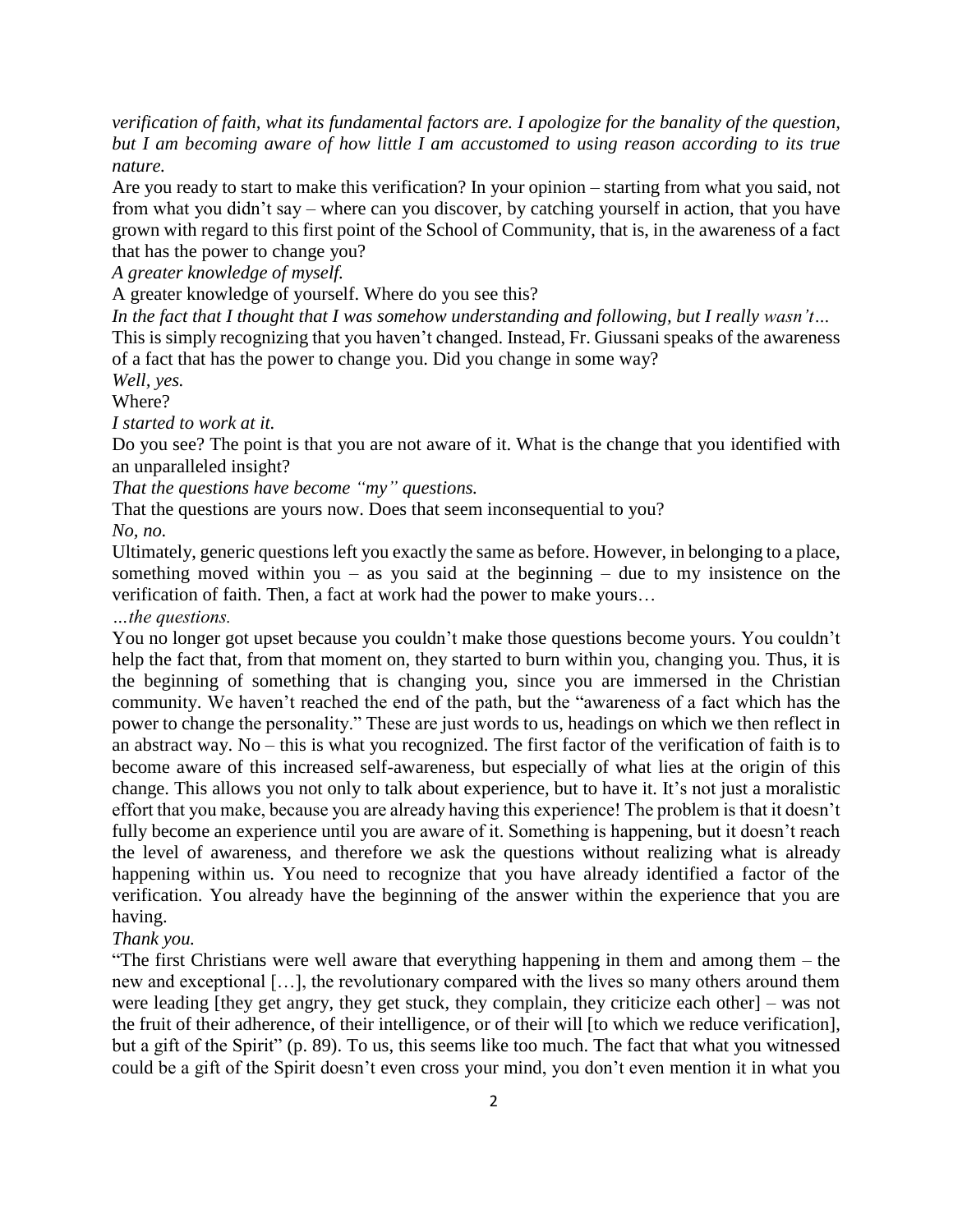*verification of faith, what its fundamental factors are. I apologize for the banality of the question, but I am becoming aware of how little I am accustomed to using reason according to its true nature.*

Are you ready to start to make this verification? In your opinion – starting from what you said, not from what you didn't say – where can you discover, by catching yourself in action, that you have grown with regard to this first point of the School of Community, that is, in the awareness of a fact that has the power to change you?

*A greater knowledge of myself.* 

A greater knowledge of yourself. Where do you see this?

*In the fact that I thought that I was somehow understanding and following, but I really wasn't…*

This is simply recognizing that you haven't changed. Instead, Fr. Giussani speaks of the awareness of a fact that has the power to change you. Did you change in some way?

*Well, yes.*

Where?

*I started to work at it.*

Do you see? The point is that you are not aware of it. What is the change that you identified with an unparalleled insight?

*That the questions have become "my" questions.*

That the questions are yours now. Does that seem inconsequential to you?

*No, no.*

Ultimately, generic questions left you exactly the same as before. However, in belonging to a place, something moved within you – as you said at the beginning – due to my insistence on the verification of faith. Then, a fact at work had the power to make yours…

*…the questions.*

You no longer got upset because you couldn't make those questions become yours. You couldn't help the fact that, from that moment on, they started to burn within you, changing you. Thus, it is the beginning of something that is changing you, since you are immersed in the Christian community. We haven't reached the end of the path, but the "awareness of a fact which has the power to change the personality." These are just words to us, headings on which we then reflect in an abstract way. No – this is what you recognized. The first factor of the verification of faith is to become aware of this increased self-awareness, but especially of what lies at the origin of this change. This allows you not only to talk about experience, but to have it. It's not just a moralistic effort that you make, because you are already having this experience! The problem is that it doesn't fully become an experience until you are aware of it. Something is happening, but it doesn't reach the level of awareness, and therefore we ask the questions without realizing what is already happening within us. You need to recognize that you have already identified a factor of the verification. You already have the beginning of the answer within the experience that you are having.

#### *Thank you.*

"The first Christians were well aware that everything happening in them and among them – the new and exceptional […], the revolutionary compared with the lives so many others around them were leading [they get angry, they get stuck, they complain, they criticize each other] – was not the fruit of their adherence, of their intelligence, or of their will [to which we reduce verification], but a gift of the Spirit" (p. 89). To us, this seems like too much. The fact that what you witnessed could be a gift of the Spirit doesn't even cross your mind, you don't even mention it in what you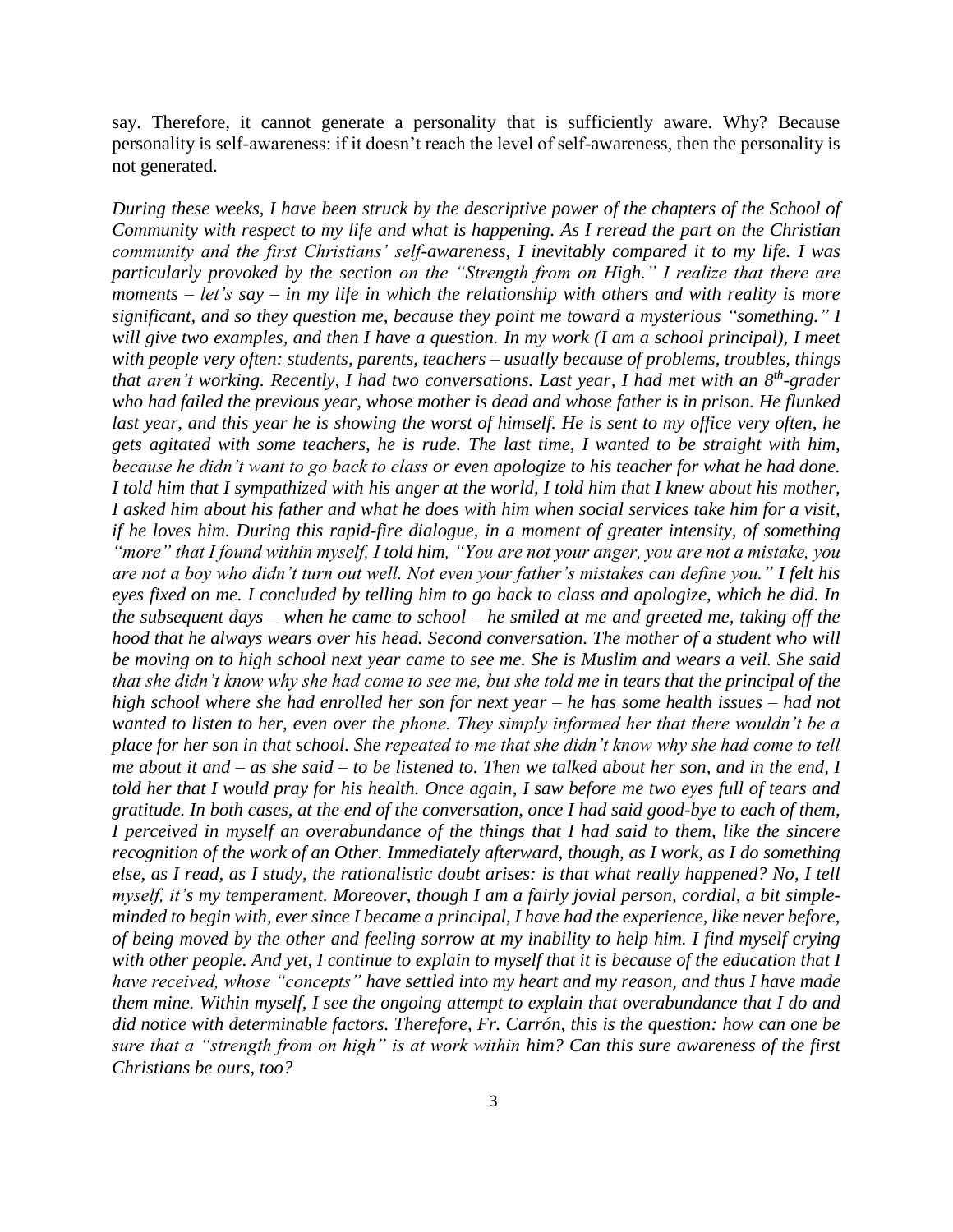say. Therefore, it cannot generate a personality that is sufficiently aware. Why? Because personality is self-awareness: if it doesn't reach the level of self-awareness, then the personality is not generated.

*During these weeks, I have been struck by the descriptive power of the chapters of the School of Community with respect to my life and what is happening. As I reread the part on the Christian community and the first Christians' self-awareness, I inevitably compared it to my life. I was particularly provoked by the section on the "Strength from on High." I realize that there are moments – let's say – in my life in which the relationship with others and with reality is more significant, and so they question me, because they point me toward a mysterious "something." I will give two examples, and then I have a question. In my work (I am a school principal), I meet with people very often: students, parents, teachers – usually because of problems, troubles, things that aren't working. Recently, I had two conversations. Last year, I had met with an 8 th -grader who had failed the previous year, whose mother is dead and whose father is in prison. He flunked last year, and this year he is showing the worst of himself. He is sent to my office very often, he gets agitated with some teachers, he is rude. The last time, I wanted to be straight with him, because he didn't want to go back to class or even apologize to his teacher for what he had done. I told him that I sympathized with his anger at the world, I told him that I knew about his mother, I asked him about his father and what he does with him when social services take him for a visit, if he loves him. During this rapid-fire dialogue, in a moment of greater intensity, of something "more" that I found within myself, I told him, "You are not your anger, you are not a mistake, you are not a boy who didn't turn out well. Not even your father's mistakes can define you." I felt his eyes fixed on me. I concluded by telling him to go back to class and apologize, which he did. In the subsequent days – when he came to school – he smiled at me and greeted me, taking off the hood that he always wears over his head. Second conversation. The mother of a student who will be moving on to high school next year came to see me. She is Muslim and wears a veil. She said that she didn't know why she had come to see me, but she told me in tears that the principal of the high school where she had enrolled her son for next year – he has some health issues – had not wanted to listen to her, even over the phone. They simply informed her that there wouldn't be a place for her son in that school. She repeated to me that she didn't know why she had come to tell me about it and – as she said – to be listened to. Then we talked about her son, and in the end, I told her that I would pray for his health. Once again, I saw before me two eyes full of tears and gratitude. In both cases, at the end of the conversation, once I had said good-bye to each of them, I perceived in myself an overabundance of the things that I had said to them, like the sincere recognition of the work of an Other. Immediately afterward, though, as I work, as I do something else, as I read, as I study, the rationalistic doubt arises: is that what really happened? No, I tell myself, it's my temperament. Moreover, though I am a fairly jovial person, cordial, a bit simpleminded to begin with, ever since I became a principal, I have had the experience, like never before, of being moved by the other and feeling sorrow at my inability to help him. I find myself crying with other people. And yet, I continue to explain to myself that it is because of the education that I have received, whose "concepts" have settled into my heart and my reason, and thus I have made them mine. Within myself, I see the ongoing attempt to explain that overabundance that I do and did notice with determinable factors. Therefore, Fr. Carrón, this is the question: how can one be sure that a "strength from on high" is at work within him? Can this sure awareness of the first Christians be ours, too?*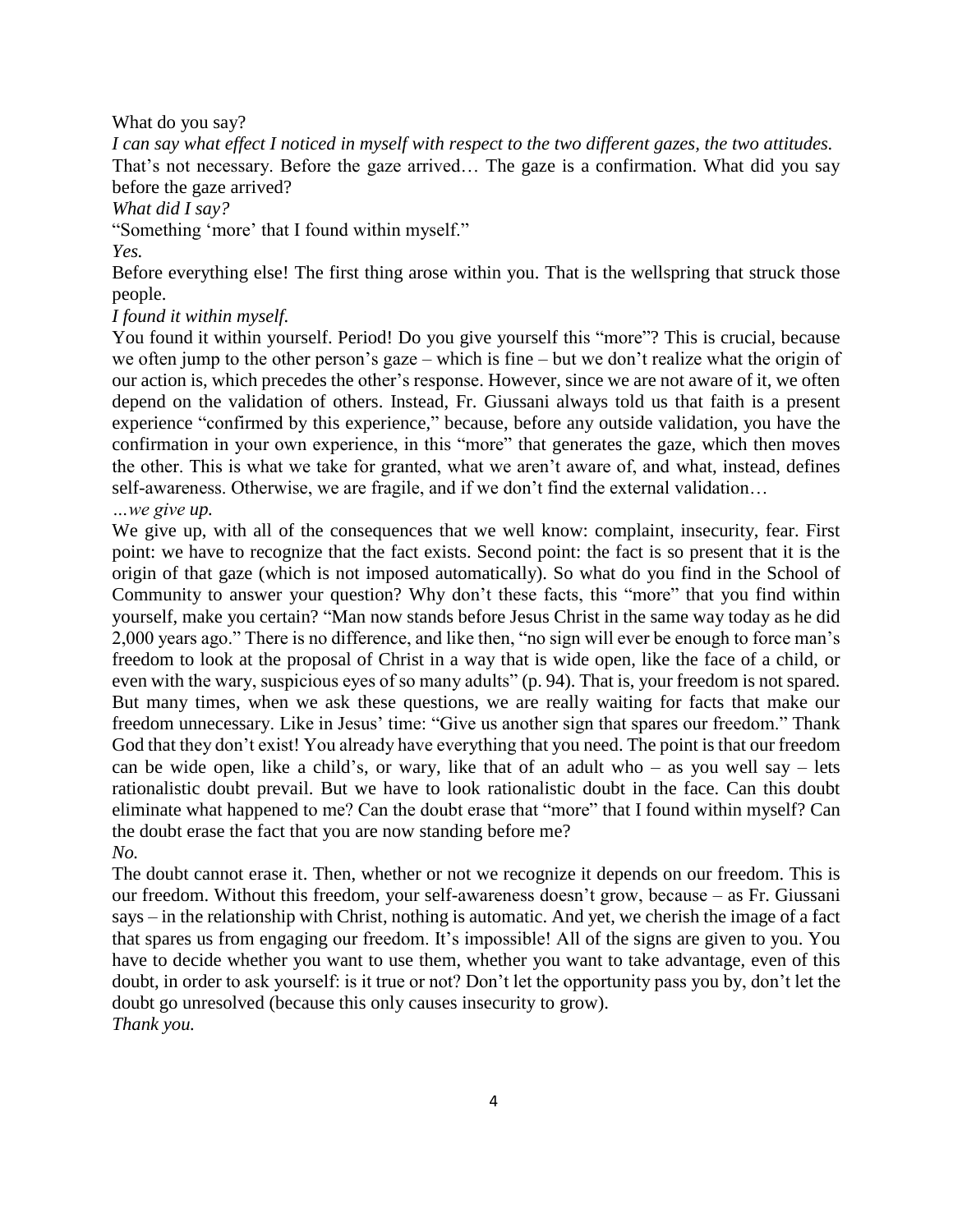What do you say?

*I can say what effect I noticed in myself with respect to the two different gazes, the two attitudes.* That's not necessary. Before the gaze arrived… The gaze is a confirmation. What did you say before the gaze arrived?

*What did I say?*

"Something 'more' that I found within myself."

*Yes.*

Before everything else! The first thing arose within you. That is the wellspring that struck those people.

# *I found it within myself.*

You found it within yourself. Period! Do you give yourself this "more"? This is crucial, because we often jump to the other person's gaze – which is fine – but we don't realize what the origin of our action is, which precedes the other's response. However, since we are not aware of it, we often depend on the validation of others. Instead, Fr. Giussani always told us that faith is a present experience "confirmed by this experience," because, before any outside validation, you have the confirmation in your own experience, in this "more" that generates the gaze, which then moves the other. This is what we take for granted, what we aren't aware of, and what, instead, defines self-awareness. Otherwise, we are fragile, and if we don't find the external validation…

# *…we give up.*

We give up, with all of the consequences that we well know: complaint, insecurity, fear. First point: we have to recognize that the fact exists. Second point: the fact is so present that it is the origin of that gaze (which is not imposed automatically). So what do you find in the School of Community to answer your question? Why don't these facts, this "more" that you find within yourself, make you certain? "Man now stands before Jesus Christ in the same way today as he did 2,000 years ago." There is no difference, and like then, "no sign will ever be enough to force man's freedom to look at the proposal of Christ in a way that is wide open, like the face of a child, or even with the wary, suspicious eyes of so many adults" (p. 94). That is, your freedom is not spared. But many times, when we ask these questions, we are really waiting for facts that make our freedom unnecessary. Like in Jesus' time: "Give us another sign that spares our freedom." Thank God that they don't exist! You already have everything that you need. The point is that our freedom can be wide open, like a child's, or wary, like that of an adult who – as you well say – lets rationalistic doubt prevail. But we have to look rationalistic doubt in the face. Can this doubt eliminate what happened to me? Can the doubt erase that "more" that I found within myself? Can the doubt erase the fact that you are now standing before me? *No.*

The doubt cannot erase it. Then, whether or not we recognize it depends on our freedom. This is our freedom. Without this freedom, your self-awareness doesn't grow, because – as Fr. Giussani says – in the relationship with Christ, nothing is automatic. And yet, we cherish the image of a fact that spares us from engaging our freedom. It's impossible! All of the signs are given to you. You have to decide whether you want to use them, whether you want to take advantage, even of this doubt, in order to ask yourself: is it true or not? Don't let the opportunity pass you by, don't let the doubt go unresolved (because this only causes insecurity to grow). *Thank you.*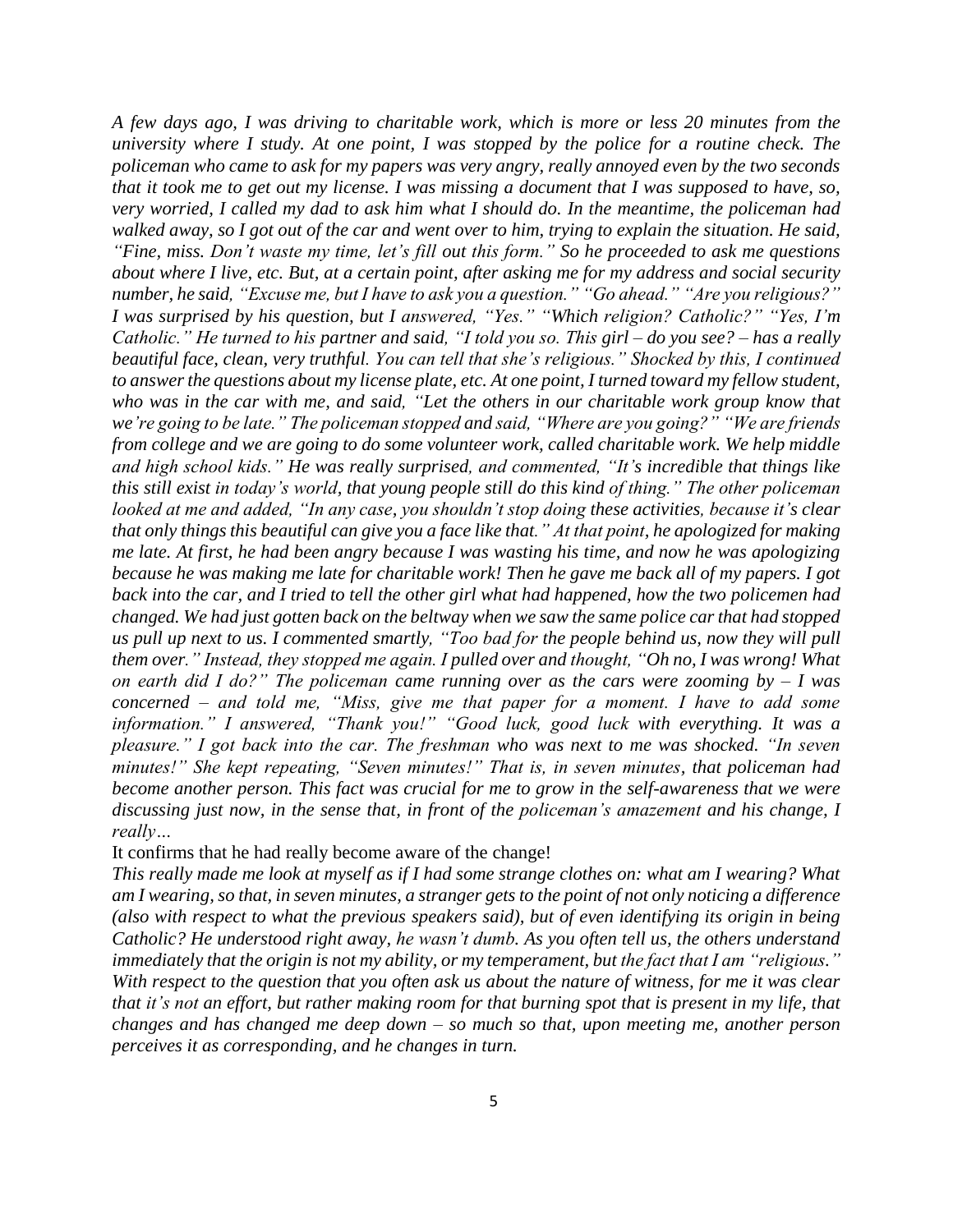*A few days ago, I was driving to charitable work, which is more or less 20 minutes from the university where I study. At one point, I was stopped by the police for a routine check. The policeman who came to ask for my papers was very angry, really annoyed even by the two seconds that it took me to get out my license. I was missing a document that I was supposed to have, so, very worried, I called my dad to ask him what I should do. In the meantime, the policeman had walked away, so I got out of the car and went over to him, trying to explain the situation. He said, "Fine, miss. Don't waste my time, let's fill out this form." So he proceeded to ask me questions about where I live, etc. But, at a certain point, after asking me for my address and social security number, he said, "Excuse me, but I have to ask you a question." "Go ahead." "Are you religious?" I was surprised by his question, but I answered, "Yes." "Which religion? Catholic?" "Yes, I'm Catholic." He turned to his partner and said, "I told you so. This girl – do you see? – has a really beautiful face, clean, very truthful. You can tell that she's religious." Shocked by this, I continued to answer the questions about my license plate, etc. At one point, I turned toward my fellow student, who was in the car with me, and said, "Let the others in our charitable work group know that we're going to be late." The policeman stopped and said, "Where are you going?" "We are friends from college and we are going to do some volunteer work, called charitable work. We help middle and high school kids." He was really surprised, and commented, "It's incredible that things like this still exist in today's world, that young people still do this kind of thing." The other policeman looked at me and added, "In any case, you shouldn't stop doing these activities, because it's clear that only things this beautiful can give you a face like that." At that point, he apologized for making me late. At first, he had been angry because I was wasting his time, and now he was apologizing because he was making me late for charitable work! Then he gave me back all of my papers. I got back into the car, and I tried to tell the other girl what had happened, how the two policemen had changed. We had just gotten back on the beltway when we saw the same police car that had stopped us pull up next to us. I commented smartly, "Too bad for the people behind us, now they will pull them over." Instead, they stopped me again. I pulled over and thought, "Oh no, I was wrong! What on earth did I do?" The policeman came running over as the cars were zooming by – I was concerned – and told me, "Miss, give me that paper for a moment. I have to add some information." I answered, "Thank you!" "Good luck, good luck with everything. It was a pleasure." I got back into the car. The freshman who was next to me was shocked. "In seven minutes!" She kept repeating, "Seven minutes!" That is, in seven minutes, that policeman had become another person. This fact was crucial for me to grow in the self-awareness that we were discussing just now, in the sense that, in front of the policeman's amazement and his change, I really…*

It confirms that he had really become aware of the change!

*This really made me look at myself as if I had some strange clothes on: what am I wearing? What am I wearing, so that, in seven minutes, a stranger gets to the point of not only noticing a difference (also with respect to what the previous speakers said), but of even identifying its origin in being Catholic? He understood right away, he wasn't dumb. As you often tell us, the others understand immediately that the origin is not my ability, or my temperament, but the fact that I am "religious." With respect to the question that you often ask us about the nature of witness, for me it was clear that it's not an effort, but rather making room for that burning spot that is present in my life, that changes and has changed me deep down – so much so that, upon meeting me, another person perceives it as corresponding, and he changes in turn.*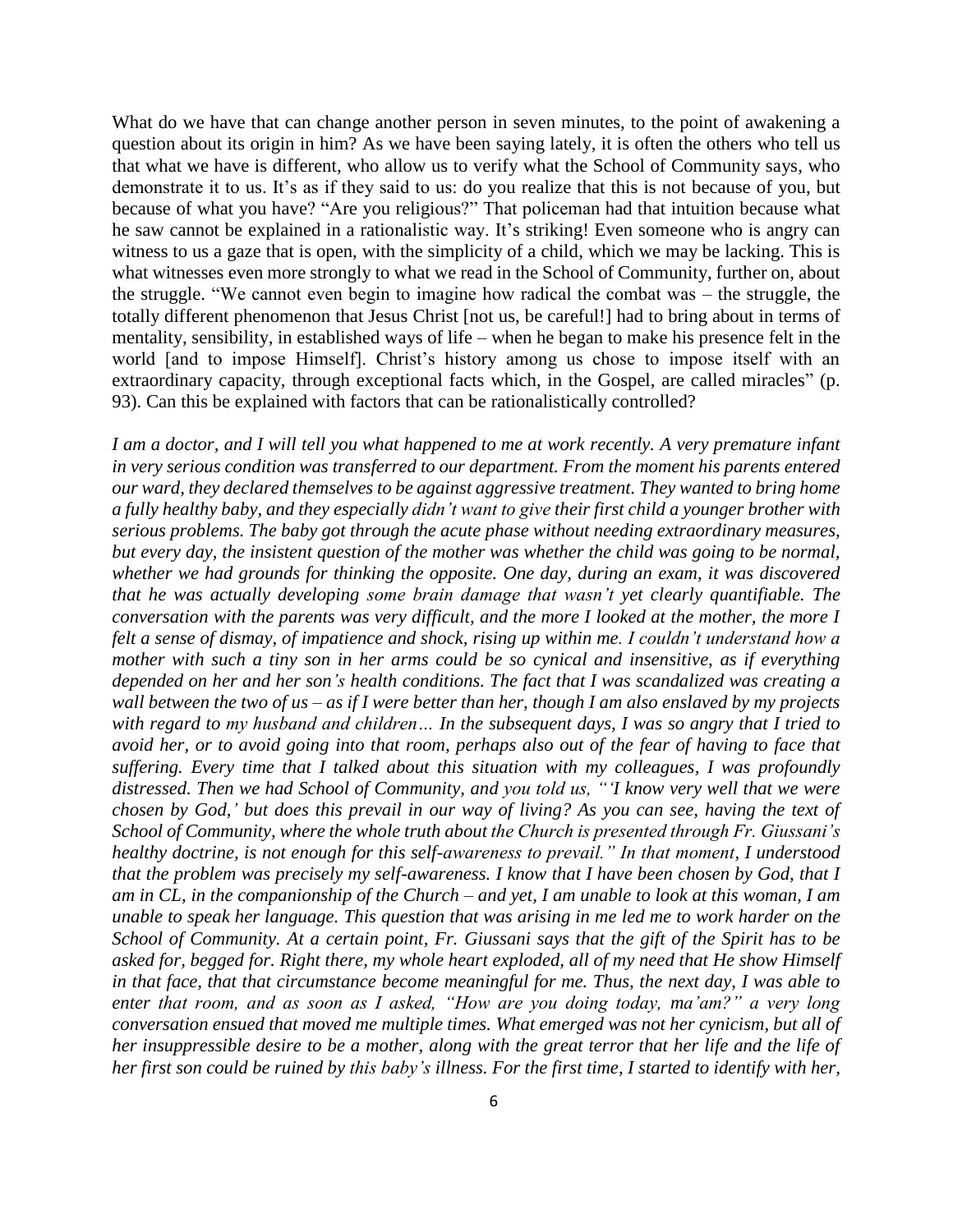What do we have that can change another person in seven minutes, to the point of awakening a question about its origin in him? As we have been saying lately, it is often the others who tell us that what we have is different, who allow us to verify what the School of Community says, who demonstrate it to us. It's as if they said to us: do you realize that this is not because of you, but because of what you have? "Are you religious?" That policeman had that intuition because what he saw cannot be explained in a rationalistic way. It's striking! Even someone who is angry can witness to us a gaze that is open, with the simplicity of a child, which we may be lacking. This is what witnesses even more strongly to what we read in the School of Community, further on, about the struggle. "We cannot even begin to imagine how radical the combat was – the struggle, the totally different phenomenon that Jesus Christ [not us, be careful!] had to bring about in terms of mentality, sensibility, in established ways of life – when he began to make his presence felt in the world [and to impose Himself]. Christ's history among us chose to impose itself with an extraordinary capacity, through exceptional facts which, in the Gospel, are called miracles" (p. 93). Can this be explained with factors that can be rationalistically controlled?

*I am a doctor, and I will tell you what happened to me at work recently. A very premature infant in very serious condition was transferred to our department. From the moment his parents entered our ward, they declared themselves to be against aggressive treatment. They wanted to bring home a fully healthy baby, and they especially didn't want to give their first child a younger brother with serious problems. The baby got through the acute phase without needing extraordinary measures, but every day, the insistent question of the mother was whether the child was going to be normal, whether we had grounds for thinking the opposite. One day, during an exam, it was discovered that he was actually developing some brain damage that wasn't yet clearly quantifiable. The conversation with the parents was very difficult, and the more I looked at the mother, the more I felt a sense of dismay, of impatience and shock, rising up within me. I couldn't understand how a mother with such a tiny son in her arms could be so cynical and insensitive, as if everything depended on her and her son's health conditions. The fact that I was scandalized was creating a wall between the two of us – as if I were better than her, though I am also enslaved by my projects with regard to my husband and children… In the subsequent days, I was so angry that I tried to avoid her, or to avoid going into that room, perhaps also out of the fear of having to face that suffering. Every time that I talked about this situation with my colleagues, I was profoundly distressed. Then we had School of Community, and you told us, "'I know very well that we were chosen by God,' but does this prevail in our way of living? As you can see, having the text of School of Community, where the whole truth about the Church is presented through Fr. Giussani's healthy doctrine, is not enough for this self-awareness to prevail." In that moment, I understood that the problem was precisely my self-awareness. I know that I have been chosen by God, that I am in CL, in the companionship of the Church – and yet, I am unable to look at this woman, I am unable to speak her language. This question that was arising in me led me to work harder on the School of Community. At a certain point, Fr. Giussani says that the gift of the Spirit has to be asked for, begged for. Right there, my whole heart exploded, all of my need that He show Himself in that face, that that circumstance become meaningful for me. Thus, the next day, I was able to enter that room, and as soon as I asked, "How are you doing today, ma'am?" a very long conversation ensued that moved me multiple times. What emerged was not her cynicism, but all of her insuppressible desire to be a mother, along with the great terror that her life and the life of her first son could be ruined by this baby's illness. For the first time, I started to identify with her,*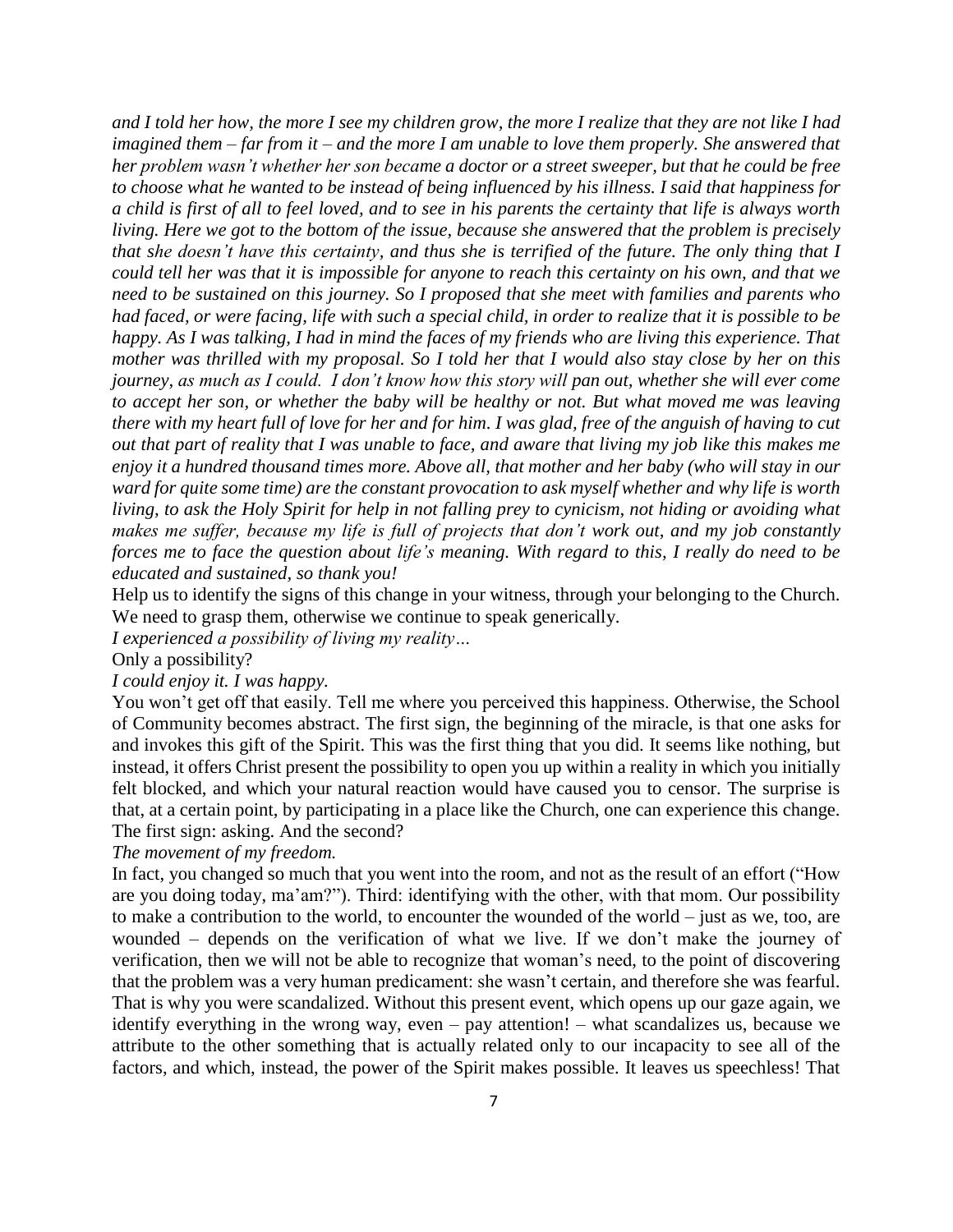*and I told her how, the more I see my children grow, the more I realize that they are not like I had imagined them – far from it – and the more I am unable to love them properly. She answered that her problem wasn't whether her son became a doctor or a street sweeper, but that he could be free to choose what he wanted to be instead of being influenced by his illness. I said that happiness for a child is first of all to feel loved, and to see in his parents the certainty that life is always worth living. Here we got to the bottom of the issue, because she answered that the problem is precisely that she doesn't have this certainty, and thus she is terrified of the future. The only thing that I could tell her was that it is impossible for anyone to reach this certainty on his own, and that we need to be sustained on this journey. So I proposed that she meet with families and parents who had faced, or were facing, life with such a special child, in order to realize that it is possible to be happy. As I was talking, I had in mind the faces of my friends who are living this experience. That mother was thrilled with my proposal. So I told her that I would also stay close by her on this journey, as much as I could. I don't know how this story will pan out, whether she will ever come to accept her son, or whether the baby will be healthy or not. But what moved me was leaving there with my heart full of love for her and for him. I was glad, free of the anguish of having to cut out that part of reality that I was unable to face, and aware that living my job like this makes me enjoy it a hundred thousand times more. Above all, that mother and her baby (who will stay in our ward for quite some time) are the constant provocation to ask myself whether and why life is worth living, to ask the Holy Spirit for help in not falling prey to cynicism, not hiding or avoiding what makes me suffer, because my life is full of projects that don't work out, and my job constantly forces me to face the question about life's meaning. With regard to this, I really do need to be educated and sustained, so thank you!*

Help us to identify the signs of this change in your witness, through your belonging to the Church. We need to grasp them, otherwise we continue to speak generically.

*I experienced a possibility of living my reality…*

Only a possibility?

### *I could enjoy it. I was happy.*

You won't get off that easily. Tell me where you perceived this happiness. Otherwise, the School of Community becomes abstract. The first sign, the beginning of the miracle, is that one asks for and invokes this gift of the Spirit. This was the first thing that you did. It seems like nothing, but instead, it offers Christ present the possibility to open you up within a reality in which you initially felt blocked, and which your natural reaction would have caused you to censor. The surprise is that, at a certain point, by participating in a place like the Church, one can experience this change. The first sign: asking. And the second?

*The movement of my freedom.*

In fact, you changed so much that you went into the room, and not as the result of an effort ("How are you doing today, ma'am?"). Third: identifying with the other, with that mom. Our possibility to make a contribution to the world, to encounter the wounded of the world – just as we, too, are wounded – depends on the verification of what we live. If we don't make the journey of verification, then we will not be able to recognize that woman's need, to the point of discovering that the problem was a very human predicament: she wasn't certain, and therefore she was fearful. That is why you were scandalized. Without this present event, which opens up our gaze again, we identify everything in the wrong way, even – pay attention! – what scandalizes us, because we attribute to the other something that is actually related only to our incapacity to see all of the factors, and which, instead, the power of the Spirit makes possible. It leaves us speechless! That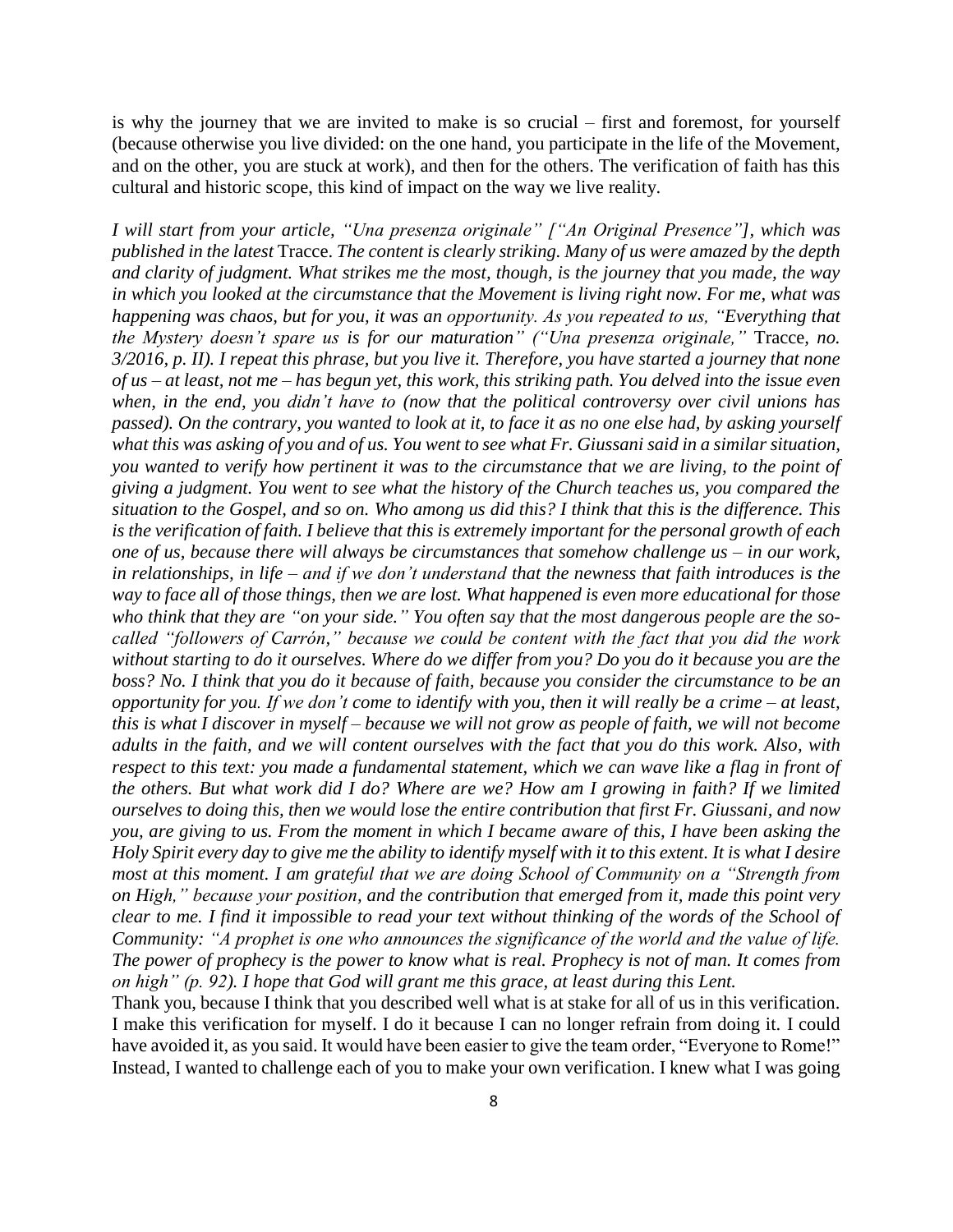is why the journey that we are invited to make is so crucial – first and foremost, for yourself (because otherwise you live divided: on the one hand, you participate in the life of the Movement, and on the other, you are stuck at work), and then for the others. The verification of faith has this cultural and historic scope, this kind of impact on the way we live reality.

*I will start from your article, "Una presenza originale" ["An Original Presence"], which was published in the latest* Tracce. *The content is clearly striking. Many of us were amazed by the depth and clarity of judgment. What strikes me the most, though, is the journey that you made, the way in which you looked at the circumstance that the Movement is living right now. For me, what was happening was chaos, but for you, it was an opportunity. As you repeated to us, "Everything that the Mystery doesn't spare us is for our maturation" ("Una presenza originale,"* Tracce*, no. 3/2016, p. II). I repeat this phrase, but you live it. Therefore, you have started a journey that none of us – at least, not me – has begun yet, this work, this striking path. You delved into the issue even when, in the end, you didn't have to (now that the political controversy over civil unions has passed). On the contrary, you wanted to look at it, to face it as no one else had, by asking yourself what this was asking of you and of us. You went to see what Fr. Giussani said in a similar situation, you wanted to verify how pertinent it was to the circumstance that we are living, to the point of giving a judgment. You went to see what the history of the Church teaches us, you compared the situation to the Gospel, and so on. Who among us did this? I think that this is the difference. This is the verification of faith. I believe that this is extremely important for the personal growth of each one of us, because there will always be circumstances that somehow challenge us – in our work, in relationships, in life – and if we don't understand that the newness that faith introduces is the way to face all of those things, then we are lost. What happened is even more educational for those who think that they are "on your side." You often say that the most dangerous people are the socalled "followers of Carrón," because we could be content with the fact that you did the work without starting to do it ourselves. Where do we differ from you? Do you do it because you are the boss? No. I think that you do it because of faith, because you consider the circumstance to be an opportunity for you. If we don't come to identify with you, then it will really be a crime – at least, this is what I discover in myself – because we will not grow as people of faith, we will not become adults in the faith, and we will content ourselves with the fact that you do this work. Also, with respect to this text: you made a fundamental statement, which we can wave like a flag in front of the others. But what work did I do? Where are we? How am I growing in faith? If we limited ourselves to doing this, then we would lose the entire contribution that first Fr. Giussani, and now you, are giving to us. From the moment in which I became aware of this, I have been asking the Holy Spirit every day to give me the ability to identify myself with it to this extent. It is what I desire most at this moment. I am grateful that we are doing School of Community on a "Strength from on High," because your position, and the contribution that emerged from it, made this point very clear to me. I find it impossible to read your text without thinking of the words of the School of Community: "A prophet is one who announces the significance of the world and the value of life. The power of prophecy is the power to know what is real. Prophecy is not of man. It comes from on high" (p. 92). I hope that God will grant me this grace, at least during this Lent.*

Thank you, because I think that you described well what is at stake for all of us in this verification. I make this verification for myself. I do it because I can no longer refrain from doing it. I could have avoided it, as you said. It would have been easier to give the team order, "Everyone to Rome!" Instead, I wanted to challenge each of you to make your own verification. I knew what I was going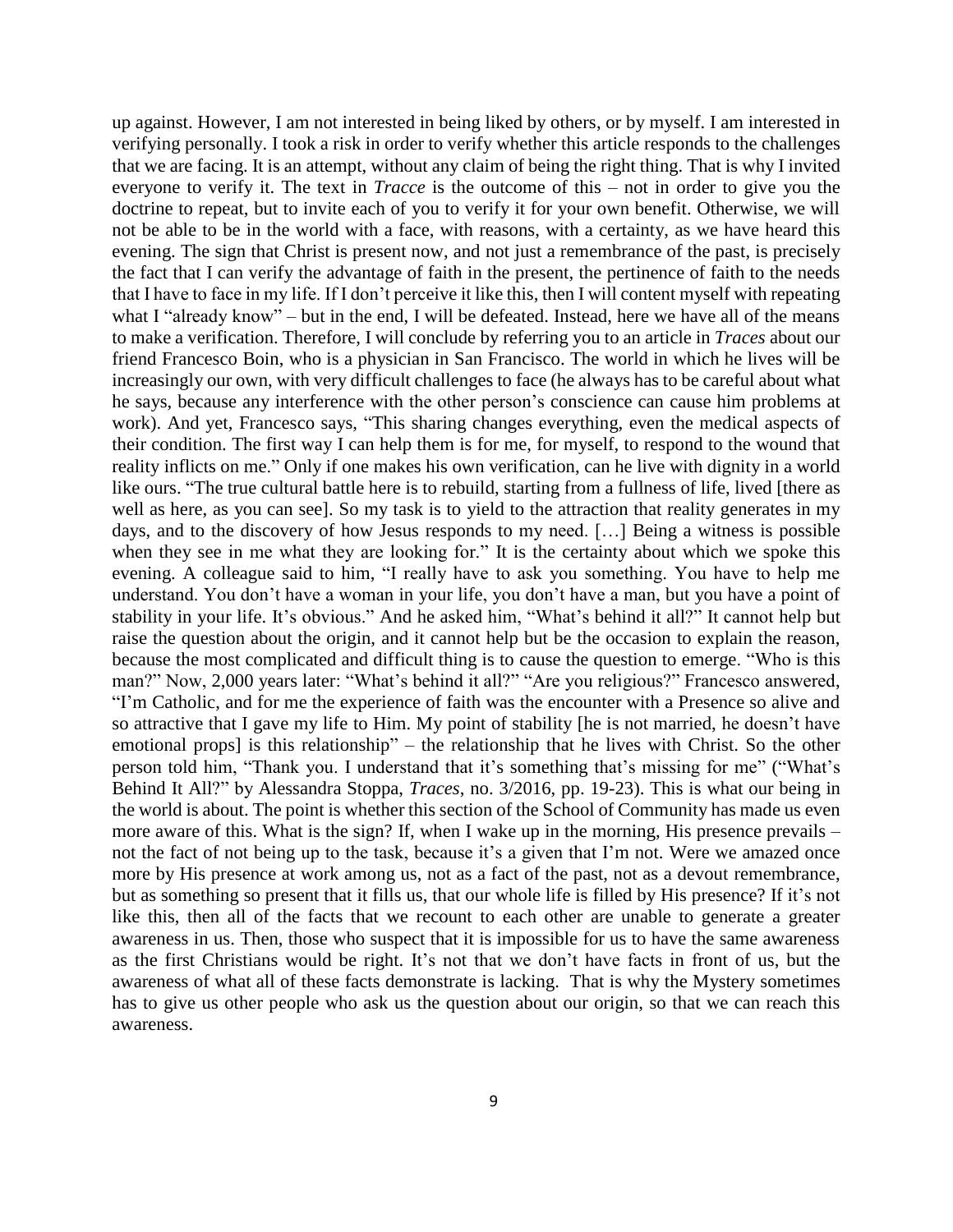up against. However, I am not interested in being liked by others, or by myself. I am interested in verifying personally. I took a risk in order to verify whether this article responds to the challenges that we are facing. It is an attempt, without any claim of being the right thing. That is why I invited everyone to verify it. The text in *Tracce* is the outcome of this – not in order to give you the doctrine to repeat, but to invite each of you to verify it for your own benefit. Otherwise, we will not be able to be in the world with a face, with reasons, with a certainty, as we have heard this evening. The sign that Christ is present now, and not just a remembrance of the past, is precisely the fact that I can verify the advantage of faith in the present, the pertinence of faith to the needs that I have to face in my life. If I don't perceive it like this, then I will content myself with repeating what I "already know" – but in the end, I will be defeated. Instead, here we have all of the means to make a verification. Therefore, I will conclude by referring you to an article in *Traces* about our friend Francesco Boin, who is a physician in San Francisco. The world in which he lives will be increasingly our own, with very difficult challenges to face (he always has to be careful about what he says, because any interference with the other person's conscience can cause him problems at work). And yet, Francesco says, "This sharing changes everything, even the medical aspects of their condition. The first way I can help them is for me, for myself, to respond to the wound that reality inflicts on me." Only if one makes his own verification, can he live with dignity in a world like ours. "The true cultural battle here is to rebuild, starting from a fullness of life, lived [there as well as here, as you can see]. So my task is to yield to the attraction that reality generates in my days, and to the discovery of how Jesus responds to my need. […] Being a witness is possible when they see in me what they are looking for." It is the certainty about which we spoke this evening. A colleague said to him, "I really have to ask you something. You have to help me understand. You don't have a woman in your life, you don't have a man, but you have a point of stability in your life. It's obvious." And he asked him, "What's behind it all?" It cannot help but raise the question about the origin, and it cannot help but be the occasion to explain the reason, because the most complicated and difficult thing is to cause the question to emerge. "Who is this man?" Now, 2,000 years later: "What's behind it all?" "Are you religious?" Francesco answered, "I'm Catholic, and for me the experience of faith was the encounter with a Presence so alive and so attractive that I gave my life to Him. My point of stability [he is not married, he doesn't have emotional props] is this relationship" – the relationship that he lives with Christ. So the other person told him, "Thank you. I understand that it's something that's missing for me" ("What's Behind It All?" by Alessandra Stoppa, *Traces*, no. 3/2016, pp. 19-23). This is what our being in the world is about. The point is whether this section of the School of Community has made us even more aware of this. What is the sign? If, when I wake up in the morning, His presence prevails – not the fact of not being up to the task, because it's a given that I'm not. Were we amazed once more by His presence at work among us, not as a fact of the past, not as a devout remembrance, but as something so present that it fills us, that our whole life is filled by His presence? If it's not like this, then all of the facts that we recount to each other are unable to generate a greater awareness in us. Then, those who suspect that it is impossible for us to have the same awareness as the first Christians would be right. It's not that we don't have facts in front of us, but the awareness of what all of these facts demonstrate is lacking. That is why the Mystery sometimes has to give us other people who ask us the question about our origin, so that we can reach this awareness.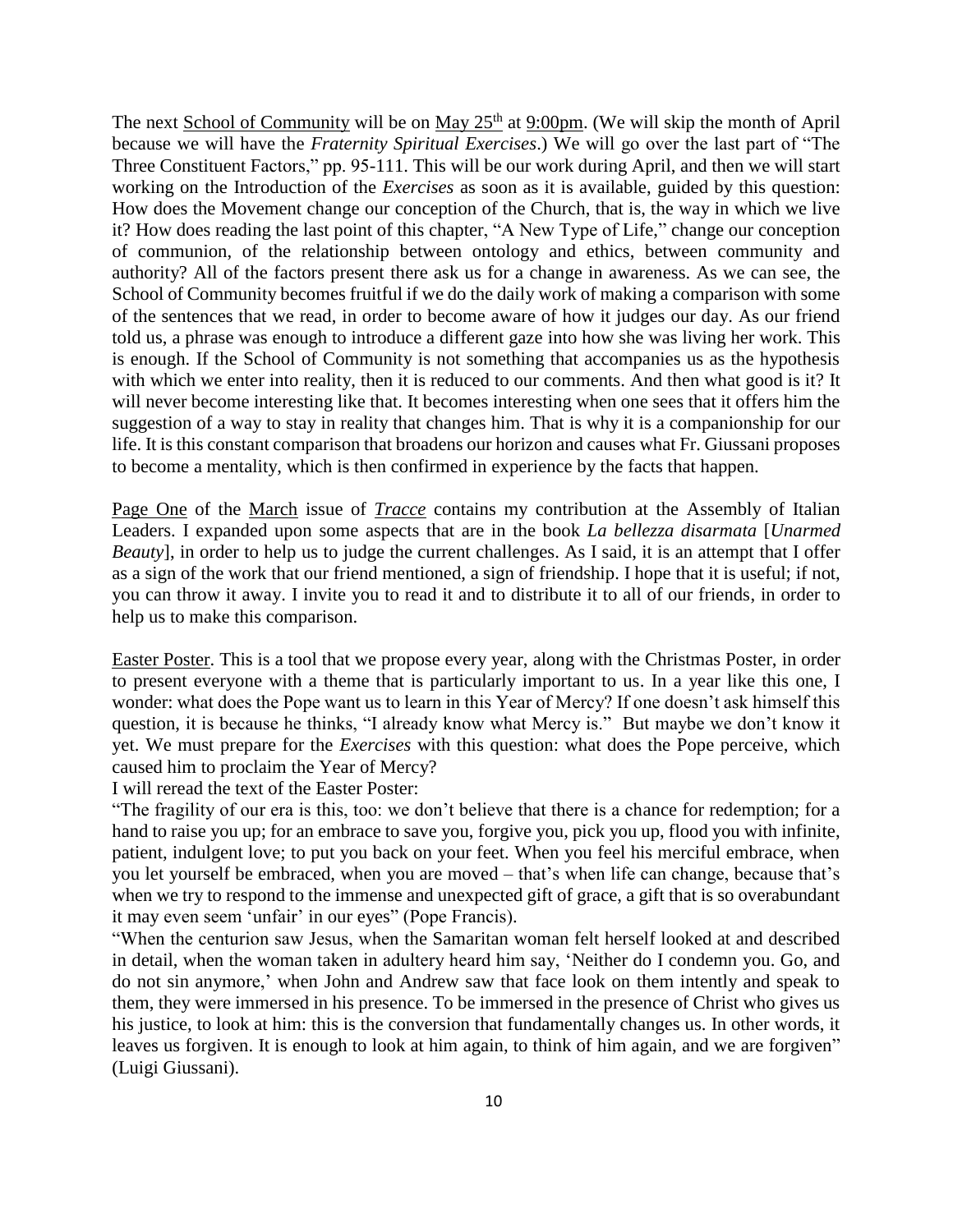The next School of Community will be on May 25<sup>th</sup> at 9:00pm. (We will skip the month of April because we will have the *Fraternity Spiritual Exercises*.) We will go over the last part of "The Three Constituent Factors," pp. 95-111. This will be our work during April, and then we will start working on the Introduction of the *Exercises* as soon as it is available, guided by this question: How does the Movement change our conception of the Church, that is, the way in which we live it? How does reading the last point of this chapter, "A New Type of Life," change our conception of communion, of the relationship between ontology and ethics, between community and authority? All of the factors present there ask us for a change in awareness. As we can see, the School of Community becomes fruitful if we do the daily work of making a comparison with some of the sentences that we read, in order to become aware of how it judges our day. As our friend told us, a phrase was enough to introduce a different gaze into how she was living her work. This is enough. If the School of Community is not something that accompanies us as the hypothesis with which we enter into reality, then it is reduced to our comments. And then what good is it? It will never become interesting like that. It becomes interesting when one sees that it offers him the suggestion of a way to stay in reality that changes him. That is why it is a companionship for our life. It is this constant comparison that broadens our horizon and causes what Fr. Giussani proposes to become a mentality, which is then confirmed in experience by the facts that happen.

Page One of the March issue of *Tracce* contains my contribution at the Assembly of Italian Leaders. I expanded upon some aspects that are in the book *La bellezza disarmata* [*Unarmed Beauty*], in order to help us to judge the current challenges. As I said, it is an attempt that I offer as a sign of the work that our friend mentioned, a sign of friendship. I hope that it is useful; if not, you can throw it away. I invite you to read it and to distribute it to all of our friends, in order to help us to make this comparison.

Easter Poster. This is a tool that we propose every year, along with the Christmas Poster, in order to present everyone with a theme that is particularly important to us. In a year like this one, I wonder: what does the Pope want us to learn in this Year of Mercy? If one doesn't ask himself this question, it is because he thinks, "I already know what Mercy is." But maybe we don't know it yet. We must prepare for the *Exercises* with this question: what does the Pope perceive, which caused him to proclaim the Year of Mercy?

I will reread the text of the Easter Poster:

"The fragility of our era is this, too: we don't believe that there is a chance for redemption; for a hand to raise you up; for an embrace to save you, forgive you, pick you up, flood you with infinite, patient, indulgent love; to put you back on your feet. When you feel his merciful embrace, when you let yourself be embraced, when you are moved – that's when life can change, because that's when we try to respond to the immense and unexpected gift of grace, a gift that is so overabundant it may even seem 'unfair' in our eyes" (Pope Francis).

"When the centurion saw Jesus, when the Samaritan woman felt herself looked at and described in detail, when the woman taken in adultery heard him say, 'Neither do I condemn you. Go, and do not sin anymore,' when John and Andrew saw that face look on them intently and speak to them, they were immersed in his presence. To be immersed in the presence of Christ who gives us his justice, to look at him: this is the conversion that fundamentally changes us. In other words, it leaves us forgiven. It is enough to look at him again, to think of him again, and we are forgiven" (Luigi Giussani).